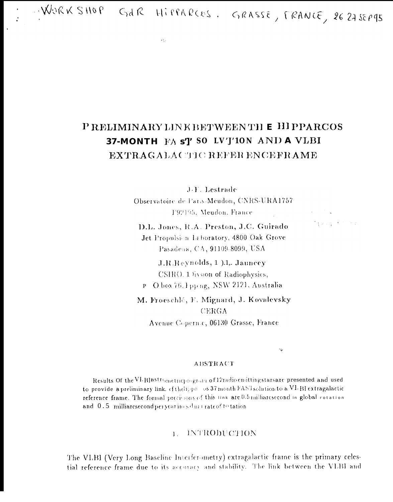WORKSHOP GAR HIPPARCOS, GRASSE, FRANCE, 26 27 SEPPS

 $\mathcal{L}_{\mathrm{max}}$ 

# P RELIMINARY LINK BETWEENTH E HI PPARCOS 37-MONTH FA s'l' SO LV'J'10N AND A VLBI **EXTRAGALACTIC REFER ENCEFRAME**

J.F. Lestrade

Observatoire de Paris-Meudon, CNRS-URA1757 F92195, Meudon, France

D.L. Jones, R.A. Preston, J.C. Guirado Jet Propulsion Laboratory, 4800 Oak Grove Pasadena, CA, 91109-8099, USA

J.R.Reynolds, 1 ).1,. Jauncey CSIRO. 1 livsion of Radiophysics,

P O box 76, I pp ng, NSW 2121, Australia

M. Froeschlé, F. Mignard, J. Kovalevsky CERGA

Avenue Copernic, 06130 Grasse, France

 $\ddot{\phantom{a}}$ 

**Style Provide** 

## **ABSTRACT**

Results Of the VLBI astrometric program of 12 radioemitting stars are presented and used to provide a preliminary link. ef the lippa os 37 month FAST solution to a VI. BI extragalactic reference frame. The formal precisions of this link are 0.5 milliarcsecond in global rotation and 0.5 milliarcsecond per yearings durinate of 10 tation

# **1. INTRODUCTION**

The VLBI (Very Long Baseline Interferometry) extragalactic frame is the primary celestial reference frame due to its accoracy and stability. The link between the VLBI and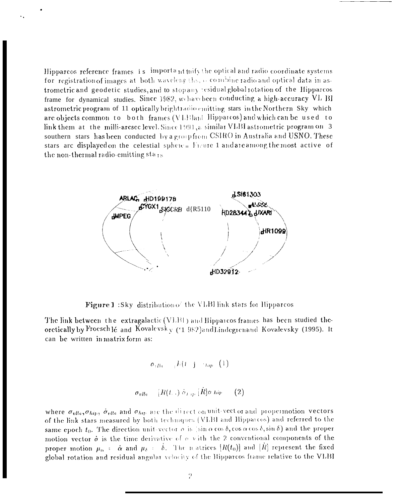Hipparcos reference frames is important thify the optical and radio coordinate systems for registration of images at both waveleng this, a combine radio and optical data in astrometric and geodetic studies, and to stop any residual global rotation of the Hipparcos frame for dynamical studies. Since 1982, we have been conducting a high-accuracy VL BI astrometric program of 11 optically brightradio emitting stars in the Northern Sky which are objects common to both frames (VLBland Hipparcos) and which can be used to link them at the milli-arcsec level. Since 1991, a similar VLBI astrometric program on 3 southern stars has been conducted by a group from CSIRO in Australia and USNO. These stars are displayed on the celestial sphere Figure 1 and are among the most active of the non-thermal radio-emitting sta<sub>rs</sub>



**Figure 1**: Sky distribution of the VLBI link stars for Hipparcos

The link between the extragalactic  $(VLB1)$  and Hipparcos frames has been studied theoretically by Froesch lé and Kovalevsky (1982) and Lindegren and Kovalevsky (1995). It can be written in matrix form as:

$$
\sigma_{i} \bar{p}_{0} = \ _{i} \bar{h} (t-j \rightarrow_{hp} (1)
$$
 
$$
\sigma_{v l \bar{b} i} = [\bar{R} (t \rightarrow) \ \dot{\sigma}_{t \rightarrow p} \ [\dot{R}] \sigma \ \bar{h i p} = (2)
$$

where  $\sigma_{vlb}$ ,  $\sigma_{hip}$ ,  $\dot{\sigma}_{vlb}$  and  $\sigma_{hip}$  are the direction unit-vector and propermotion vectors of the link stars measured by both techniques (VLBI and Hipparcos) and referred to the same epoch  $t_0$ . The direction unit-vector  $\sigma$  is  $|\sin \alpha \cos \delta$ , cos  $\alpha \cos \delta$ ,  $\sin \delta$  and the proper motion vector  $\dot{\sigma}$  is the time derivative of  $\sigma$  with the 2 conventional components of the proper motion  $\mu_{\alpha}$  =  $\dot{\alpha}$  and  $\mu_{\delta}$  =  $\delta$ . The matrices  $[R(t_0)]$  and  $[\dot{R}]$  represent the fixed global rotation and residual angular velocity of the Hipparcos frame relative to the VLBI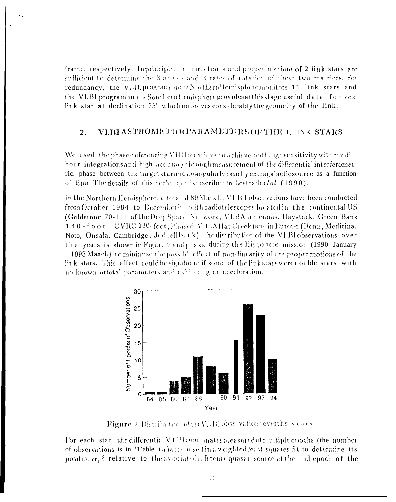frame, respectively. Inprinciple, the direction is and proper motions of 2 link stars are sufficient to determine the 3 angles and 3 rates of rotation of these two matrices. For redundancy, the VLBIprogram inthe Northern Hemisphere monitors 11 link stars and the VLBI program in the SouthernHemisphere provides at this stage useful data for one link star at declination 75° which improves considerably the geometry of the link.

## VLBI ASTROMETRICPARAMETERS OF THE I. INK STARS 2.

We used the phase-referencing VIBItechrique to achieve both high sensitivity with multi hour integrations and high accuracy through measurement of the differential interferometric. phase between the target star and an angularly nearby extragalactic source as a function of time. The details of this technique isotescribed in Lestrade et al. (1990).

In the Northern Hemisphere, a total of 89 MarkIII VLB I observations have been conducted from October 1984 to December 94 with radiotelescopes located in the continental US (Goldstone 70-111 of the Deep Space Net work, VLBA antennas, Haystack, Green Bank 140-foot, OVRO 130-foot, Phased VI A Hat Creek) and in Europe (Bonn, Medicina, Noto, Onsala, Cambridge, Jod rellBank). The distribution of the VLBI observations over the years is shown in Figure 2 and  $p_{CR,ES}$  during the Hipparcos mission (1990 January

1993 March) to minimise the possible effect of non-linearity of the proper motions of the link stars. This effect couldbe significant if some of the link stars were double stars with no known orbital parameters and exhibiting an acceleration.



Figure 2 Distribution of  $H(V)$ . Blobservations over the years.

For each star, the differential  $V1B$  coordinates measured at multiple epochs (the number of observations is in '1'able 1a) $\kappa$  ge u sed in a weighted least squares fit to determine its position  $\alpha$ ,  $\delta$  relative to the associated; eference quasar source at the mid-epoch of the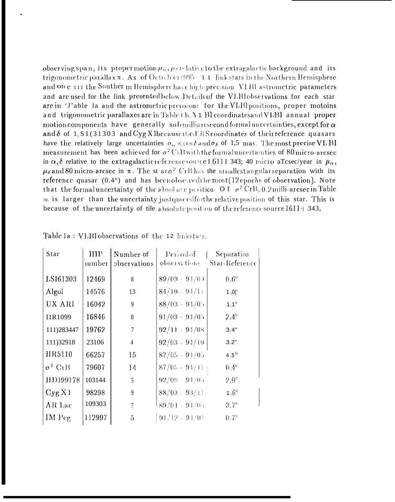observing span, its proper motion  $\mu_{\alpha}$ ,  $\mu_{\beta}$  dative to the extragalactic background and its trigonometric parallax  $\pi$ . As of Octo b e11995 11 link stars in the Northern Hemisphere and on e 111 the Souther in Hemisphere have high-precision VLBI astrometric parameters and are used for the link presented below. Details of the VLBI observations for each star are in 'J'able la and the astrometric precisions for the VLBI positions, proper motoins and trigonometric parallaxes are in Table 1b. \ 1 BI coordinates and VLBI annual proper motion components have generally submilliarcsecond formal uncertainties, except for  $\alpha$ and  $\delta$  of 1, S1(31303 and Cyg X1because the ERS coordinates of their reference quasars have the relatively large uncertainties  $\sigma_0 \times \cos \delta$  and  $\sigma_6$  of 1,5 mas. The most precise VL BI measurement has been achieved for  $\sigma^2$ CiB with the formal uncertainties of 80 micro-arcsec in  $\alpha$ ,  $\delta$  relative to the extragalactic references source I 6111 343; 40 micro aTcsec/year in  $\mu_{\alpha}$ ,  $\mu_{\delta}$  and 80 micro-arcsec in  $\pi$ . The st are <sup>2</sup> CrB has the smallest angular separation with its reference quasar  $(0.4^{\circ})$  and has been observed the most (12 epochs of observation). Note that the formal uncertainty of the absolute position O f  $\sigma^2$  CrB, 0.2 milli-arcsec in Table Ib, is larger than the uncertainty just quoted for the relative position of this star. This is because of the uncertainty of tile absolute position of the reference source 1611+343,

| Star           | HIP          | Number of       | Period of 1       | Separation     |
|----------------|--------------|-----------------|-------------------|----------------|
|                | <i>umber</i> | observations    | observations      | Star-Reference |
| LS161303       | 12469        | 8               | $89/09 - 94/09$   | $0.6^\circ$    |
| Algol          | 14576        | 13              | $84/10 - 94/11$   | 1,0(           |
| UX ARI         | 16042        | 9               | $88/03 - 94/05$   | 1.1"           |
| I1R1099        | 16846        | 8               | $91/03 - 94/05$   | $2.4^\circ$    |
| 111)283447     | 19762        | $\overline{7}$  | $92/11 - 94/08$   | 3.4"           |
| 111)32918      | 23106        | $\overline{4}$  | $92/03 - 91/10$   | 3.2"           |
| HR5110         | 66257        | 15              | $87/05 - 94/05$   | 4.5 $^{\circ}$ |
| $\sigma^2$ CrB | 79607        | 14              | $87/05 - 91/11 +$ | $0.4^\circ$    |
| HD199178       | 103144       | 5               | $92/09 - 94/05$   | $2.9^{\circ}$  |
| Cyg X1         | 98298        | 9               | $88/03 - 93/11$   | $1.6^\circ$    |
| AR Lac         | 109303       | $\overline{7}$  | $89/04 - 94/05$   | $3.7^\circ$    |
| IM Peg         | 112997       | $5\overline{)}$ | $(91/12 - 91/07)$ | $0.7^\circ$    |

Table 1a : VLBI observations of the 12 linkstars.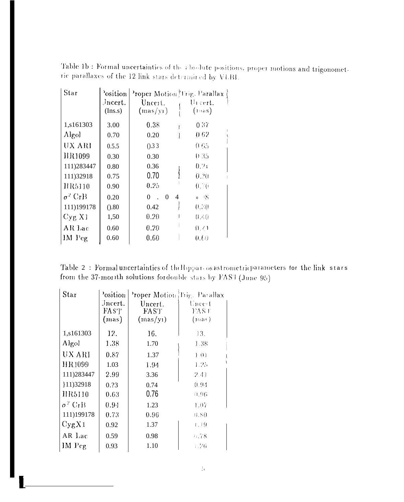Table 1b : Formal uncertainties of the absolute positions, proper motions and trigonometric parallaxes of the 12 link stars determined by VLBI.

| Star           | <sup>2</sup> osition<br>Jncert.<br>(Ins.s) | Proper Motion Trig. Parallax<br>Uncert.<br>(max/yr) | Unicert.<br>$(n\cos)$ |
|----------------|--------------------------------------------|-----------------------------------------------------|-----------------------|
| 1,s161303      | 3.00                                       | 0.38                                                | 0.37                  |
| Algol          | 0.70                                       | 0.20                                                | 0.62                  |
| UX ARI         | 0.5.5                                      | 0.33                                                | 0.65                  |
| HR1099         | 0.30                                       | 0.30                                                | 0.35                  |
| 111)283447     | 0.80                                       | 0.36                                                | 0.21                  |
| 111)32918      | 0.75                                       | 0.70                                                | 0.20                  |
| HR5110         | 0.90                                       | 0.25                                                | 0.10                  |
| $\sigma^2$ CrB | 0.20                                       | $\Omega$<br>$0 \quad$<br>$\overline{4}$             | $\circ$ $\rightarrow$ |
| 111)199178     | (0.80)                                     | 0.42                                                | 0.30                  |
| Cyg X1         | 1,50                                       | 0.20                                                | 0.40                  |
| AR Lac         | 0.60                                       | 0.20                                                | $(1, \ell)$           |
| $IM$ $Peg$     | 0.60                                       | 0.60                                                | 0.60                  |

| Table 2: Formal uncertainties of the Hipparcos astrometric parameters for the link stars |  |
|------------------------------------------------------------------------------------------|--|
| from the 37-morth solutions for double stars by FAST (June 95)                           |  |

| Star           | 'osition<br>Jncert.<br>$\text{FAS}$<br>(mas) | Proper Motion Trig. Parallax<br>Uncert.<br>FAST<br>(max/y1) | Uncert<br>FAS F<br>(nas) |
|----------------|----------------------------------------------|-------------------------------------------------------------|--------------------------|
| 1,s161303      | 12.                                          | 16.                                                         | 13.                      |
| Algol          | 1.38                                         | 1.70                                                        | 1.38                     |
| UX ARI         | 0.87                                         | 1.37                                                        | 1.01                     |
| <b>HR1099</b>  | 1.03                                         | 1.94                                                        | 1.25                     |
| 111)283447     | 2.99                                         | 3.36                                                        | 2.41                     |
| }11)32918      | 0.23                                         | 0.74                                                        | 0.94                     |
| HR5110         | 0.63                                         | 0.76                                                        | 0.96                     |
| $\sigma^2$ CrB | 0.94                                         | 1.23                                                        | 1.07                     |
| 111)199178     | 0.73                                         | 0.96                                                        | 0.80                     |
| Cyg X1         | 0.92                                         | 1.37                                                        | 1.79                     |
| AR Lac         | 0.59                                         | 0.98                                                        | 0.78                     |
| $IM$ $Peg$     | 0.93                                         | 1.10                                                        | 1.26                     |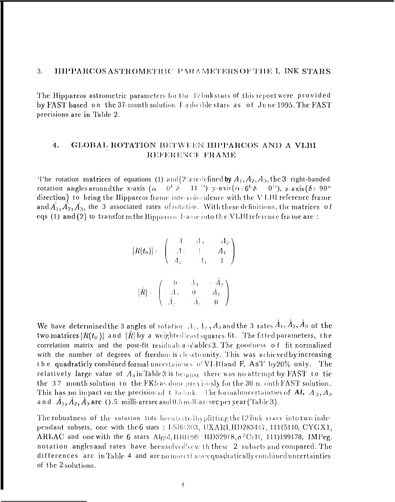#### 3. HIPPARCOS ASTROMETRIC PARAMETERS OF THE I, INK STARS

The Hipparcos astrometric parameters for the 12 link stars of this report were provided by FAST based on the 37-month solution for double stars as of June 1995. The FAST precisions are in Table 2.

## GLOBAL ROTATION BETWEEN HIPPARCOS AND A VLBI 4. REFERENCE FRAME

The rotation matrices of equations (1) and (2) are defined by  $A_1$ ,  $A_2$ ,  $A_3$ , the 3 right-handed  $(0^h \ \delta - 11^{-1})$  y-axis  $(\alpha \cdot 6^h \ \delta - 0^{1})$ , z-axis  $(\delta \cdot 90^{\circ})$ rotation angles around the x-axis ( $\alpha$ direction) to bring the Hipparcos frame into coincidence with the VLBI reference frame and  $A_1, A_2, A_3$ , the 3 associated rates of rotation. With these definitions, the matrices of eqs (1) and (2) to transform the Hipparcos frame into the VLBI reference frame are:

$$
[R(t_0)] := \begin{pmatrix} 1 & A_3 & -A_2 \\ -A_3 & 1 & A_1 \\ A_2 & -A_1 & 1 \end{pmatrix}
$$

$$
[\hat{R}] = \begin{pmatrix} 0 & A_3 & -A_2 \\ -A_3 & 0 & A_1 \\ A_2 & -A_1 & 0 \end{pmatrix}
$$

We have determined the 3 angles of rotation  $A_1$ ,  $A_2$ ,  $A_3$  and the 3 rates  $A_1$ ,  $A_2$ ,  $A_3$  of the two matrices  $[R(t_0)]$  and  $[R]$  by a weighted least squares fit. The fitted parameters, the correlation matrix and the post-fit residuals a dables 3. The goodness of fit normalized with the number of degrees of freedom is close to unity. This was achieved by increasing the quadraticly combined formal uncertainties of VLBI and F, As'l' by 20% only. The relatively large value of  $A_3$  in Table 3 is because there was no attempt by FAST to tie the 37 month solution to the FK5 as done previously for the 30 m onth FAST solution. This has no impact on the precision of the huk. The formal uncertainties of  $Al, A_2, A_3$ and  $A_1, A_2, A_3$  are ().5 milli-arcsec and 0.5 milli arcsec per year (Table 3).

The robustness of the solution lids beentestedby plitting the 12 link stars into two independant subsets, one with the 6 stars : LS161303, UXAR1, HD283447, 111{5110, CYGX1, ARLAC and one with the 6 stars Algol, HR1099 HD32918,  $\sigma^2$ CrB, 111)199178, IMPeg. notation angles and rates have been solved for w th these 2 subsets and compared. The differences are in Table 4 and are no morethance quadratically combined uncertainties of the 2 solutions.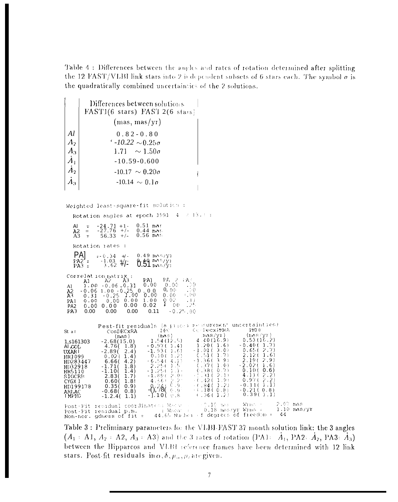Table 4 : Differences between the angles and rates of rotation determined after splitting the 12 FAST/VLBI link stars into 2 is dependent subsets of 6 stars each. The symbol  $\sigma$  is the quadratically combined uncertainties of the 2 solutions.

| Al<br>$\varLambda_2$<br>$A_3$<br>$\dot{A}_1$<br>$A_{2}$<br>$A_3$                                                                     | Differences between solutions<br>FAST1(6 stars) FAST 2(6 stars)<br>(mas, mas/yr)<br>$0.82 - 0.80$<br>$-10.22 \sim 0.25\sigma$<br>$\sim 1.50\sigma$<br>1.71<br>$-10.59 - 0.600$<br>$-10.17 \sim 0.20\sigma$<br>$-10.14 \sim 0.1\sigma$                                                                                                                                                                                                                                                                                                                                                                                                                                                                                                                                                                                                                                                                                                                                                                                                        |
|--------------------------------------------------------------------------------------------------------------------------------------|----------------------------------------------------------------------------------------------------------------------------------------------------------------------------------------------------------------------------------------------------------------------------------------------------------------------------------------------------------------------------------------------------------------------------------------------------------------------------------------------------------------------------------------------------------------------------------------------------------------------------------------------------------------------------------------------------------------------------------------------------------------------------------------------------------------------------------------------------------------------------------------------------------------------------------------------------------------------------------------------------------------------------------------------|
|                                                                                                                                      | Weighted least-square-fit solution :                                                                                                                                                                                                                                                                                                                                                                                                                                                                                                                                                                                                                                                                                                                                                                                                                                                                                                                                                                                                         |
|                                                                                                                                      | Rotation angles at epoch 1991 $-4 \times 13.4$ :                                                                                                                                                                                                                                                                                                                                                                                                                                                                                                                                                                                                                                                                                                                                                                                                                                                                                                                                                                                             |
| Al<br>Α2<br>A <sub>3</sub>                                                                                                           | $0.51$ mas<br>$-24.71 + 1$<br>$-27.76 +/-$<br>$\equiv$<br>$0.44$ nas<br>$=$<br>$0.56$ nes<br>$56.33 +/-$<br>- 22                                                                                                                                                                                                                                                                                                                                                                                                                                                                                                                                                                                                                                                                                                                                                                                                                                                                                                                             |
|                                                                                                                                      | Rotation rates :<br>PA <sub>l</sub><br>$= -0.34 +/-$<br>$0.49$ $m/s/y2$<br>$P A 2 =$<br>$0.51$ mas/yi<br>$\frac{-1.03}{62}$ +/<br>$P A3 =$                                                                                                                                                                                                                                                                                                                                                                                                                                                                                                                                                                                                                                                                                                                                                                                                                                                                                                   |
| Al<br>A2<br>A3.<br>PA <sub>1</sub><br>PA <sub>2</sub><br>PA3                                                                         | Correlation matrix :<br>PL - 2<br>PA).<br>$\sum_{i=1}^n\sum_{j=1}^n$<br>A3<br>- A2<br>A1<br>0.00<br>0.00<br>$1.00 - 0.06 - 0.31$<br>∴0<br>$-0.06$ 1.00 $-0.25$<br>0,00<br>0.00<br>$-0.25$<br>0.00<br>0.00<br>+, (+(+<br>1.00<br>0.31<br>0.02<br>- 14<br>0.00 0.00<br>1.00<br>0.00<br>ı<br>125<br>0.02<br>00<br>0.00<br>0.0000.00<br>$-0.25.00$<br>0.00<br>0.00<br>0.00<br>0.11                                                                                                                                                                                                                                                                                                                                                                                                                                                                                                                                                                                                                                                               |
| St al<br>1,s161303<br>AI COL<br>UXAR I<br>HR1099<br>HD283447<br>HD32918<br>HR5110<br>SICCRB<br>CYGX 1<br>HD199178<br>ARLAC<br>I MPEG | Pest-fit residuals (a priori necesurement uncertainties)<br>てくっけんの対抗化力<br>-FIALI) E<br>DFC<br>CosDECxRA<br>uas/yr)<br>(nos/yr)<br>$(n_1, n_2)$<br>(max)<br>0.53(16.2)<br>1.54(12.5)<br>4.40(16.9)<br>$-2.68(15.0)$<br>$-0.40(1.7)$<br>1.20(1.6)<br>$-0.97(1.4)$<br>4.76(1.8)<br>$-1.01$ (<br>3.0<br>0.65(2.7)<br>$-1.93(1.6)$<br>2.4)<br>$-2.89($<br>2.120<br>(1.2)<br>0.510<br>1.7)<br>1.6)<br>0.10(<br>0.02(1.4)<br>2.9)<br>2.19(<br>$-1.36($<br>3.91<br>-6.54(4.1)<br>6.66(<br>4.2)<br>$-2.02(-1.6)$<br>(.37()<br>1.0)<br>2.251<br>-155<br>$-1.71($<br>1.8)<br>$-3 - 1 +$<br>(.38()0.7)<br>$0.10(-0.6)$<br>-1.250<br>$-1.10($<br>1.4)<br>4.11()<br>2.1)<br>2.2)<br>.31(<br>$-1.89$ (<br>-2.01<br>2.83(<br>1.7)<br>$-1.91$<br>0.97(2.2)<br>$-2.72$<br>- (=42 (<br>4.660<br>0.60(<br>1.8!<br>$-\frac{8}{3},\frac{7}{8}$ $\left(\begin{array}{cc} 6 & 9 \\ 0 & 9 \end{array}\right)$<br>$-0.11(1.1)$<br>$-(.84(1.2)$<br>0.35(<br>(0.9)<br>(8.0.18)<br>$-0.21(0.8)$<br>$-0.68($ 0.8)<br>0.39(1.1)<br>-1.10( 0.8<br>(.36(1.7)<br>$-1.2.4(1.1)$ |
|                                                                                                                                      | 2.07 mas<br>$\sim$ 0.10 ass .<br>Writer in the<br>Post-Fit residual coordinates: Research<br>Post-Fit residual p.m. : When a<br>$0.18$ mas/yr Wrms $\epsilon$<br>$1.10$ mas/yr<br>44.65 Nutwin of degrees of freedom =<br>44<br>Non-nor, gduess of fit $=$                                                                                                                                                                                                                                                                                                                                                                                                                                                                                                                                                                                                                                                                                                                                                                                   |

Table 3 : Preliminary parameters for the VLBI-FAST 37 month solution link: the 3 angles  $(A_1 : A1, A_2 : A2, A_3 : A3)$  and the 3 rates of rotation (PA1:  $\tilde{A}_1$ , PA2:  $\tilde{A}_2$ , PA3:  $\tilde{A}_3$ ) between the Hipparcos and VLBI reference frames have been determined with 12 link stars. Post-fit residuals in  $\alpha$ ,  $\delta$ ,  $\mu$ <sub>0</sub>,  $\mu$ <sub>c</sub> are given.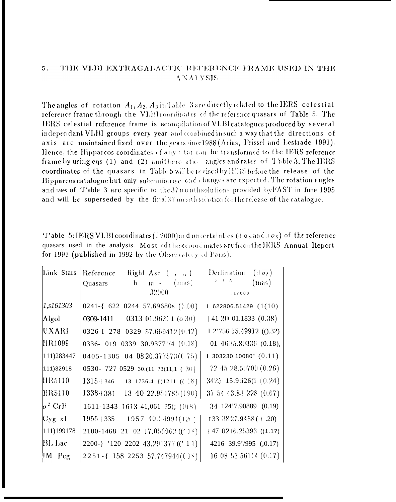## 5. THE VLBI EXTRAGALACTIC REFERENCE FRAME USED IN THE **ANALYSIS**

The angles of rotation  $A_1, A_2, A_3$  in Table 3 are directly related to the IERS celestial reference frame through the VLBI coordinates of the reference quasars of Table 5. The IERS celestial reference frame is acompilation of VLBI catalogues produced by several independant VLBI groups every year and combined in such a way that the directions of axis are maintained fixed over the years ince1988 (Arias, Feissel and Lestrade 1991). Hence, the Hipparcos coordinates of any : tar can be transformed to the IERS reference frame by using eqs (1) and (2) and theretation angles and rates of Table 3. The IERS coordinates of the quasars in Table 5 will be revised by IERS before the release of the Hipparcos catalogue but only submilliarise and changes are expected. The rotation angles and rates of 'J'able 3 are specific to the  $37n$  onth solutions provided by FAST in June 1995 and will be superseded by the final  $37 \text{ nm}$  ith solution for the release of the catalogue.

'J'able 5: IERS VLBI coordinates (12000) and uncertainties (4  $\sigma_0$  and  $\sigma_8$ ) of the reference quasars used in the analysis. Most of these coordinates are from the IERS Annual Report for 1991 (published in 1992 by the Observatory of Paris).

| Link Stars     | Reference<br>Right Asc. $\begin{pmatrix} 1 & 0 \\ 0 & 1 \end{pmatrix}$ | Declination<br>$(\pm \sigma_{\lambda})$ |
|----------------|------------------------------------------------------------------------|-----------------------------------------|
|                | h<br>(mas)<br>Quasars<br>m/s                                           | $0 \leq t \leq H$<br>(mas)              |
|                | J2000                                                                  | .17000                                  |
| 1, s161303     | 0241-{ 622 0244 57.69680s (3.00)                                       | 1622806.51429(1(10))                    |
| Algol          | 0313 01.9621 1 (o 30)<br>0309-1411                                     | $+412001.1833(0.38)$                    |
| UXARI          | 0326-I 278 0329 57.669412(0.42)                                        | I 2'756 15.49912 (().32)                |
| <b>IIR1099</b> | 0336-019 0339 30.9377'/4 ( $(1.18)$ )                                  | 01 $4635.80336$ (0.18),                 |
| 111)283447     | 0405-1305 04 08 20.377573 (0.75)                                       | $1303230.10080"$ $(0.11)$               |
| 111)32918      | 0530-727 0529 30.(11 ?3(11,1 (30)                                      | 72 45 28.50700 (0.26)                   |
| HR5110         | $1315 + 346$ 13 1736.4 { $)1211$ (( $18$ )                             | 3425 15.9:i26(i (0.24)                  |
| [HR5110]       | $1338+381$ 13 40 22.951785 ((90)                                       | 37 54 43.83 228 (0.67)                  |
| $\sigma^2$ CrB | 1611-1343 1613 41,061 ?5(; (018)                                       | 34 124'7.90889 (0.19)                   |
| $Cyg$ x1       | $1957 \ 40.54994(120)$<br>$1955 + 335$                                 | 133 38 27.9458 (1.20)                   |
| 111)199178     | 2100-1468 21 02 17.056062 (('18)                                       | $+47$ 0216.25393 ((1.1?)                |
| <b>BL</b> Lac  | 2200-} '120 2202 43.291377 ((' 11)                                     | 4216 39.9'/995 (0.17)                   |
| IM Peg         | 2251-{158 2253 57.747914(0)8)                                          | 16 08 53.56114 (0.17)                   |